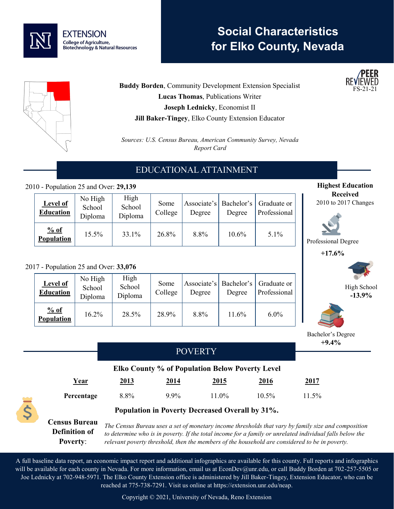

# **Social Characteristics for Elko County, Nevada**



**Buddy Borden, Community Development Extension Specialist Lucas Thomas**, Publications Writer **Joseph Lednicky**, Economist II **Jill Baker-Tingey**, Elko County Extension Educator

*Sources: U.S. Census Bureau, American Community Survey, Nevada Report Card*

## EDUCATIONAL ATTAINMENT

#### 2010 - Population 25 and Over: **29,139**

| <b>Level of</b><br><b>Education</b> | No High<br>School<br>Diploma | High<br>School<br>Diploma | Some<br>College | Degree | Degree | Associate's   Bachelor's   Graduate or<br>Professional |
|-------------------------------------|------------------------------|---------------------------|-----------------|--------|--------|--------------------------------------------------------|
| % of<br>Population                  | 15.5%                        | 33.1%                     | 26.8%           | 8.8%   | 10.6%  | $5.1\%$                                                |

#### 2017 - Population 25 and Over: **33,076**

| <b>Level of</b><br><b>Education</b> | No High<br>School<br>Diploma | High<br>School<br>Diploma | Some<br>College | Degree | Degree | Associate's   Bachelor's   Graduate or<br>Professional |
|-------------------------------------|------------------------------|---------------------------|-----------------|--------|--------|--------------------------------------------------------|
| % of<br>Population                  | $16.2\%$                     | 28.5%                     | 28.9%           | 8.8%   | 11.6%  | $6.0\%$                                                |



A full baseline data report, an economic impact report and additional infographics are available for this county. Full reports and infographics will be available for each county in Nevada. For more information, email us at EconDev@unr.edu, or call Buddy Borden at 702-257-5505 or Joe Lednicky at 702-948-5971. The Elko County Extension office is administered by Jill Baker-Tingey, Extension Educator, who can be reached at 775-738-7291. Visit us online at https://extension.unr.edu/neap.

Copyright © 2021, University of Nevada, Reno Extension



**Highest Education Received** 2010 to 2017 Changes



Professional Degree

**+17.6%**



High School **-13.9%**



Bachelor's Degree